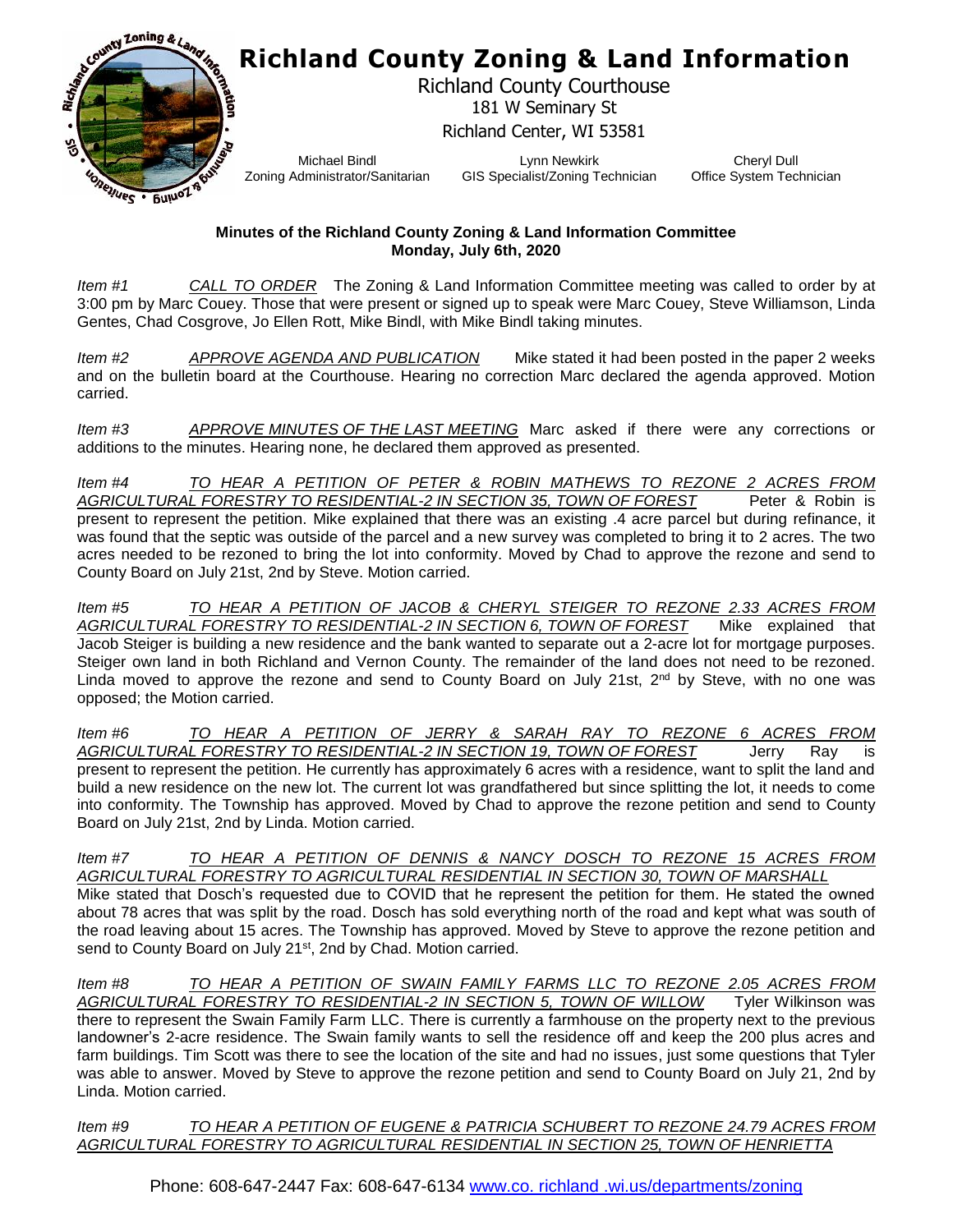

## **Richland County Zoning & Land Information**

Richland County Courthouse 181 W Seminary St Richland Center, WI 53581

Michael Bindl Zoning Administrator/Sanitarian

Lynn Newkirk GIS Specialist/Zoning Technician

Cheryl Dull Office System Technician

## **Minutes of the Richland County Zoning & Land Information Committee Monday, July 6th, 2020**

*Item #1 CALL TO ORDER* The Zoning & Land Information Committee meeting was called to order by at 3:00 pm by Marc Couey. Those that were present or signed up to speak were Marc Couey, Steve Williamson, Linda Gentes, Chad Cosgrove, Jo Ellen Rott, Mike Bindl, with Mike Bindl taking minutes.

*Item #2 APPROVE AGENDA AND PUBLICATION* Mike stated it had been posted in the paper 2 weeks and on the bulletin board at the Courthouse. Hearing no correction Marc declared the agenda approved. Motion carried.

*Item #3 APPROVE MINUTES OF THE LAST MEETING* Marc asked if there were any corrections or additions to the minutes. Hearing none, he declared them approved as presented.

*Item #4 TO HEAR A PETITION OF PETER & ROBIN MATHEWS TO REZONE 2 ACRES FROM*  AGRICULTURAL FORESTRY TO RESIDENTIAL-2 IN SECTION 35, TOWN OF FOREST Peter & Robin is present to represent the petition. Mike explained that there was an existing .4 acre parcel but during refinance, it was found that the septic was outside of the parcel and a new survey was completed to bring it to 2 acres. The two acres needed to be rezoned to bring the lot into conformity. Moved by Chad to approve the rezone and send to County Board on July 21st, 2nd by Steve. Motion carried.

*Item #5 TO HEAR A PETITION OF JACOB & CHERYL STEIGER TO REZONE 2.33 ACRES FROM AGRICULTURAL FORESTRY TO RESIDENTIAL-2 IN SECTION 6, TOWN OF FOREST* Mike explained that Jacob Steiger is building a new residence and the bank wanted to separate out a 2-acre lot for mortgage purposes. Steiger own land in both Richland and Vernon County. The remainder of the land does not need to be rezoned. Linda moved to approve the rezone and send to County Board on July 21st,  $2^{nd}$  by Steve, with no one was opposed; the Motion carried.

*Item #6 TO HEAR A PETITION OF JERRY & SARAH RAY TO REZONE 6 ACRES FROM AGRICULTURAL FORESTRY TO RESIDENTIAL-2 IN SECTION 19, TOWN OF FOREST* Jerry Ray is present to represent the petition. He currently has approximately 6 acres with a residence, want to split the land and build a new residence on the new lot. The current lot was grandfathered but since splitting the lot, it needs to come into conformity. The Township has approved. Moved by Chad to approve the rezone petition and send to County Board on July 21st, 2nd by Linda. Motion carried.

*Item #7 TO HEAR A PETITION OF DENNIS & NANCY DOSCH TO REZONE 15 ACRES FROM AGRICULTURAL FORESTRY TO AGRICULTURAL RESIDENTIAL IN SECTION 30, TOWN OF MARSHALL* Mike stated that Dosch's requested due to COVID that he represent the petition for them. He stated the owned about 78 acres that was split by the road. Dosch has sold everything north of the road and kept what was south of the road leaving about 15 acres. The Township has approved. Moved by Steve to approve the rezone petition and send to County Board on July 21<sup>st</sup>, 2nd by Chad. Motion carried.

*Item #8 TO HEAR A PETITION OF SWAIN FAMILY FARMS LLC TO REZONE 2.05 ACRES FROM AGRICULTURAL FORESTRY TO RESIDENTIAL-2 IN SECTION 5, TOWN OF WILLOW* Tyler Wilkinson was there to represent the Swain Family Farm LLC. There is currently a farmhouse on the property next to the previous landowner's 2-acre residence. The Swain family wants to sell the residence off and keep the 200 plus acres and farm buildings. Tim Scott was there to see the location of the site and had no issues, just some questions that Tyler was able to answer. Moved by Steve to approve the rezone petition and send to County Board on July 21, 2nd by Linda. Motion carried.

*Item #9 TO HEAR A PETITION OF EUGENE & PATRICIA SCHUBERT TO REZONE 24.79 ACRES FROM AGRICULTURAL FORESTRY TO AGRICULTURAL RESIDENTIAL IN SECTION 25, TOWN OF HENRIETTA*